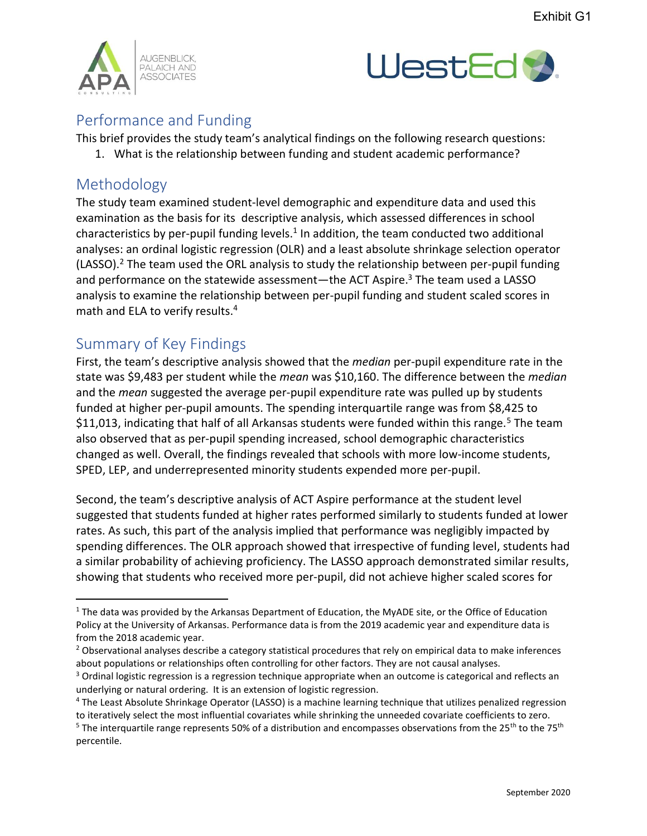



## Performance and Funding

This brief provides the study team's analytical findings on the following research questions:

1. What is the relationship between funding and student academic performance?

## Methodology

 $\overline{a}$ 

The study team examined student-level demographic and expenditure data and used this examination as the basis for its descriptive analysis, which assessed differences in school characteristics by per-pupil funding levels.<sup>1</sup> In addition, the team conducted two additional analyses: an ordinal logistic regression (OLR) and a least absolute shrinkage selection operator (LASSO).<sup>2</sup> The team used the ORL analysis to study the relationship between per-pupil funding and performance on the statewide assessment—the ACT Aspire.<sup>3</sup> The team used a LASSO analysis to examine the relationship between per-pupil funding and student scaled scores in math and ELA to verify results.<sup>4</sup>

## Summary of Key Findings

First, the team's descriptive analysis showed that the *median* per-pupil expenditure rate in the state was \$9,483 per student while the *mean* was \$10,160. The difference between the *median* and the *mean* suggested the average per-pupil expenditure rate was pulled up by students funded at higher per-pupil amounts. The spending interquartile range was from \$8,425 to \$11,013, indicating that half of all Arkansas students were funded within this range.<sup>5</sup> The team also observed that as per-pupil spending increased, school demographic characteristics changed as well. Overall, the findings revealed that schools with more low-income students, SPED, LEP, and underrepresented minority students expended more per-pupil.

Second, the team's descriptive analysis of ACT Aspire performance at the student level suggested that students funded at higher rates performed similarly to students funded at lower rates. As such, this part of the analysis implied that performance was negligibly impacted by spending differences. The OLR approach showed that irrespective of funding level, students had a similar probability of achieving proficiency. The LASSO approach demonstrated similar results, showing that students who received more per-pupil, did not achieve higher scaled scores for

<sup>&</sup>lt;sup>1</sup> The data was provided by the Arkansas Department of Education, the MyADE site, or the Office of Education Policy at the University of Arkansas. Performance data is from the 2019 academic year and expenditure data is from the 2018 academic year.

<sup>&</sup>lt;sup>2</sup> Observational analyses describe a category statistical procedures that rely on empirical data to make inferences about populations or relationships often controlling for other factors. They are not causal analyses.

 $3$  Ordinal logistic regression is a regression technique appropriate when an outcome is categorical and reflects an underlying or natural ordering. It is an extension of logistic regression.

<sup>&</sup>lt;sup>4</sup> The Least Absolute Shrinkage Operator (LASSO) is a machine learning technique that utilizes penalized regression to iteratively select the most influential covariates while shrinking the unneeded covariate coefficients to zero.

<sup>&</sup>lt;sup>5</sup> The interquartile range represents 50% of a distribution and encompasses observations from the 25<sup>th</sup> to the 75<sup>th</sup> percentile.